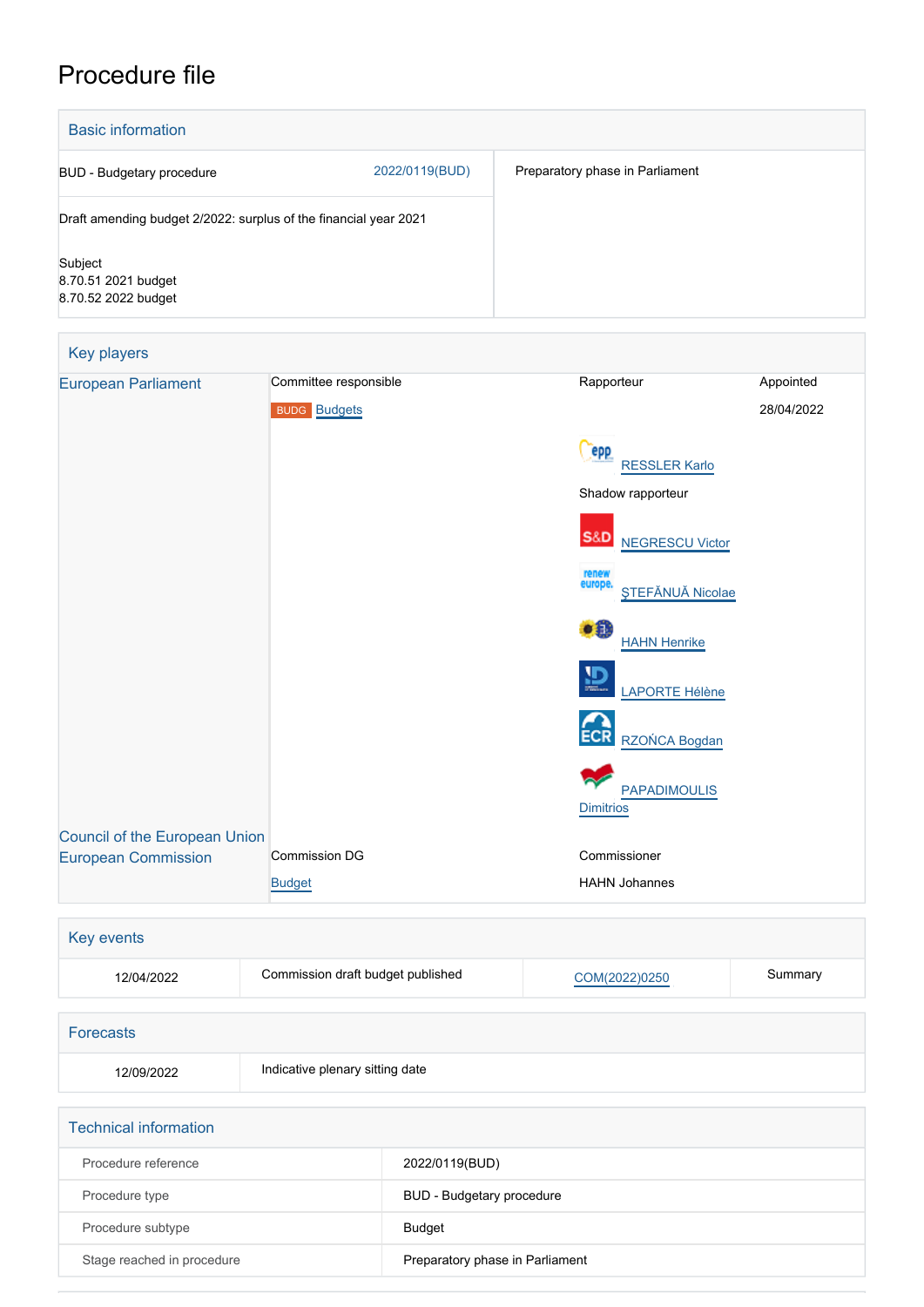## Procedure file

| <b>Basic information</b>                                         |                                 |                                  |                                             |            |
|------------------------------------------------------------------|---------------------------------|----------------------------------|---------------------------------------------|------------|
| <b>BUD</b> - Budgetary procedure                                 |                                 | 2022/0119(BUD)                   | Preparatory phase in Parliament             |            |
| Draft amending budget 2/2022: surplus of the financial year 2021 |                                 |                                  |                                             |            |
| Subject<br>8.70.51 2021 budget<br>8.70.52 2022 budget            |                                 |                                  |                                             |            |
| Key players                                                      |                                 |                                  |                                             |            |
| <b>European Parliament</b>                                       | Committee responsible           |                                  | Rapporteur                                  | Appointed  |
|                                                                  | <b>BUDG</b> Budgets             |                                  |                                             | 28/04/2022 |
|                                                                  |                                 |                                  | epp                                         |            |
|                                                                  |                                 |                                  | <b>RESSLER Karlo</b>                        |            |
|                                                                  |                                 |                                  | Shadow rapporteur                           |            |
|                                                                  |                                 |                                  | S&D<br><b>NEGRESCU Victor</b>               |            |
|                                                                  |                                 |                                  | renew<br>europe.<br><b>STEFĂNUĂ Nicolae</b> |            |
|                                                                  |                                 |                                  | ۰Ð<br><b>HAHN Henrike</b>                   |            |
|                                                                  |                                 |                                  | LAPORTE Hélène                              |            |
|                                                                  |                                 |                                  | RZOŃCA Bogdan                               |            |
|                                                                  |                                 |                                  |                                             |            |
|                                                                  |                                 |                                  | <b>PAPADIMOULIS</b><br><b>Dimitrios</b>     |            |
| <b>Council of the European Union</b>                             |                                 |                                  |                                             |            |
| <b>European Commission</b>                                       | Commission DG                   |                                  | Commissioner                                |            |
|                                                                  | <b>Budget</b>                   |                                  | <b>HAHN Johannes</b>                        |            |
| Key events                                                       |                                 |                                  |                                             |            |
| Commission draft budget published<br>12/04/2022                  |                                 | COM(2022)0250                    | Summary                                     |            |
|                                                                  |                                 |                                  |                                             |            |
| <b>Forecasts</b>                                                 |                                 |                                  |                                             |            |
| 12/09/2022                                                       | Indicative plenary sitting date |                                  |                                             |            |
| <b>Technical information</b>                                     |                                 |                                  |                                             |            |
| Procedure reference                                              |                                 | 2022/0119(BUD)                   |                                             |            |
| Procedure type                                                   |                                 | <b>BUD - Budgetary procedure</b> |                                             |            |

Stage reached in procedure **Preparatory phase in Parliament** 

Procedure subtype Budget